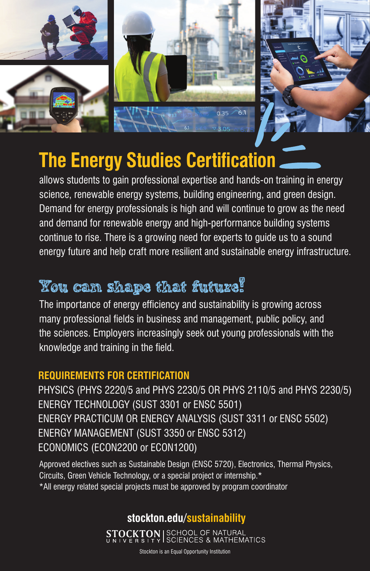



# **The Energy Studies Certification**

allows students to gain professional expertise and hands-on training in energy science, renewable energy systems, building engineering, and green design. Demand for energy professionals is high and will continue to grow as the need and demand for renewable energy and high-performance building systems continue to rise. There is a growing need for experts to guide us to a sound energy future and help craft more resilient and sustainable energy infrastructure.

# **You can shape that future!**

The importance of energy efficiency and sustainability is growing across many professional fields in business and management, public policy, and the sciences. Employers increasingly seek out young professionals with the knowledge and training in the field.

#### **REQUIREMENTS FOR CERTIFICATION**

PHYSICS (PHYS 2220/5 and PHYS 2230/5 OR PHYS 2110/5 and PHYS 2230/5) ENERGY TECHNOLOGY (SUST 3301 or ENSC 5501) ENERGY PRACTICUM OR ENERGY ANALYSIS (SUST 3311 or ENSC 5502) ENERGY MANAGEMENT (SUST 3350 or ENSC 5312) ECONOMICS (ECON2200 or ECON1200)

Approved electives such as Sustainable Design (ENSC 5720), Electronics, Thermal Physics, Circuits, Green Vehicle Technology, or a special project or internship.\* \*All energy related special projects must be approved by program coordinator

#### **stockton.edu/sustainability**

**STOCKTON** SCHOOL OF NATURAL<br>UNIVERSITY SCIENCES & MATHEMATICS

Stockton is an Equal Opportunity Institution